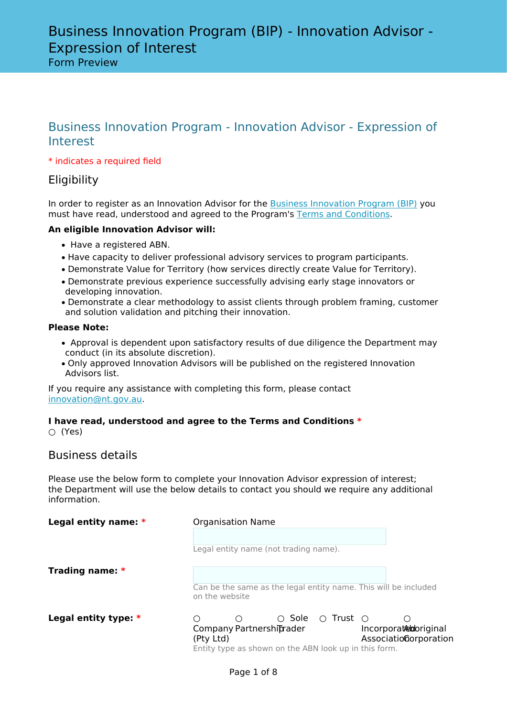Form Preview

# Business Innovation Program - Innovation Advisor - Expression of Interest

## \* indicates a required field

## **Eligibility**

In order to register as an Innovation Advisor for the [Business Innovation Program \(BIP\)](http://www.nt.gov.au/BIP) you must have read, understood and agreed to the Program's [Terms and Conditions.](https://nt.gov.au/__data/assets/pdf_file/0007/742687/business-innovation-program-terms-conditions.pdf)

## **An eligible Innovation Advisor will:**

- Have a registered ABN.
- Have capacity to deliver professional advisory services to program participants.
- Demonstrate Value for Territory (how services directly create Value for Territory).
- Demonstrate previous experience successfully advising early stage innovators or developing innovation.
- Demonstrate a clear methodology to assist clients through problem framing, customer and solution validation and pitching their innovation.

## **Please Note:**

- Approval is dependent upon satisfactory results of due diligence the Department may conduct (in its absolute discretion).
- Only approved Innovation Advisors will be published on the registered Innovation Advisors list.

If you require any assistance with completing this form, please contact [innovation@nt.gov.au.](mailto:innovation@nt.gov.au)

## **I have read, understood and agree to the Terms and Conditions \***

○ (Yes)

## Business details

Please use the below form to complete your Innovation Advisor expression of interest; the Department will use the below details to contact you should we require any additional information.

| Legal entity name: $*$ | <b>Organisation Name</b>                                                                                                                                                           |
|------------------------|------------------------------------------------------------------------------------------------------------------------------------------------------------------------------------|
|                        | Legal entity name (not trading name).                                                                                                                                              |
| Trading name: $*$      | Can be the same as the legal entity name. This will be included<br>on the website                                                                                                  |
| Legal entity type: $*$ | ○ Sole<br>$\circ$ Trust $\circ$<br>Company Partnershiprader<br>Incorporatedoriginal<br>Associationorporation<br>(Pty Ltd)<br>Entity type as shown on the ABN look up in this form. |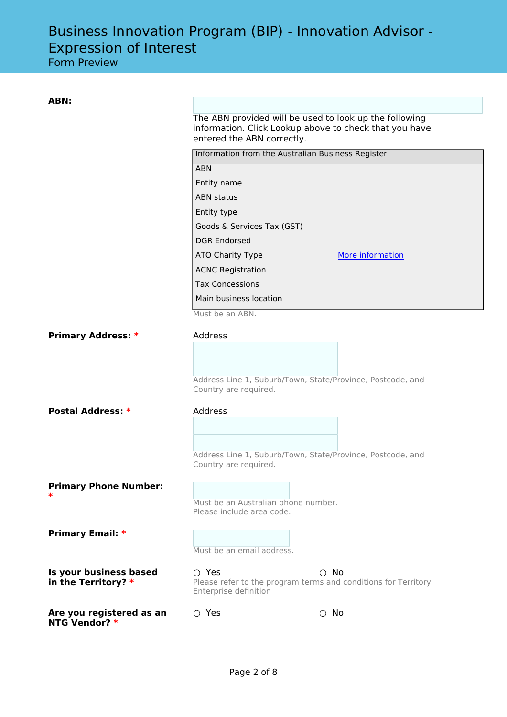Form Preview

| ABN:                         |                                                                  |                  |  |  |  |
|------------------------------|------------------------------------------------------------------|------------------|--|--|--|
|                              | The ABN provided will be used to look up the following           |                  |  |  |  |
|                              | information. Click Lookup above to check that you have           |                  |  |  |  |
|                              | entered the ABN correctly.                                       |                  |  |  |  |
|                              | Information from the Australian Business Register                |                  |  |  |  |
|                              | <b>ABN</b>                                                       |                  |  |  |  |
|                              | Entity name                                                      |                  |  |  |  |
|                              | <b>ABN</b> status                                                |                  |  |  |  |
|                              | Entity type                                                      |                  |  |  |  |
|                              | Goods & Services Tax (GST)                                       |                  |  |  |  |
|                              | <b>DGR Endorsed</b>                                              |                  |  |  |  |
|                              | ATO Charity Type                                                 | More information |  |  |  |
|                              | <b>ACNC Registration</b>                                         |                  |  |  |  |
|                              | <b>Tax Concessions</b>                                           |                  |  |  |  |
|                              | Main business location                                           |                  |  |  |  |
|                              | Must be an ABN.                                                  |                  |  |  |  |
| <b>Primary Address: *</b>    | Address                                                          |                  |  |  |  |
|                              |                                                                  |                  |  |  |  |
|                              |                                                                  |                  |  |  |  |
|                              | Address Line 1, Suburb/Town, State/Province, Postcode, and       |                  |  |  |  |
|                              | Country are required.                                            |                  |  |  |  |
| <b>Postal Address: *</b>     | Address                                                          |                  |  |  |  |
|                              |                                                                  |                  |  |  |  |
|                              |                                                                  |                  |  |  |  |
|                              | Address Line 1, Suburb/Town, State/Province, Postcode, and       |                  |  |  |  |
|                              | Country are required.                                            |                  |  |  |  |
| <b>Primary Phone Number:</b> |                                                                  |                  |  |  |  |
| $\ast$                       |                                                                  |                  |  |  |  |
|                              | Must be an Australian phone number.<br>Please include area code. |                  |  |  |  |
|                              |                                                                  |                  |  |  |  |
| <b>Primary Email: *</b>      |                                                                  |                  |  |  |  |
|                              | Must be an email address.                                        |                  |  |  |  |
| Is your business based       | $\circ$ Yes                                                      | $\circ$ No       |  |  |  |
| in the Territory? $*$        | Please refer to the program terms and conditions for Territory   |                  |  |  |  |
|                              | Enterprise definition                                            |                  |  |  |  |
| Are you registered as an     | $\circ$ Yes                                                      | $\circ$ No       |  |  |  |
| <b>NTG Vendor? *</b>         |                                                                  |                  |  |  |  |
|                              |                                                                  |                  |  |  |  |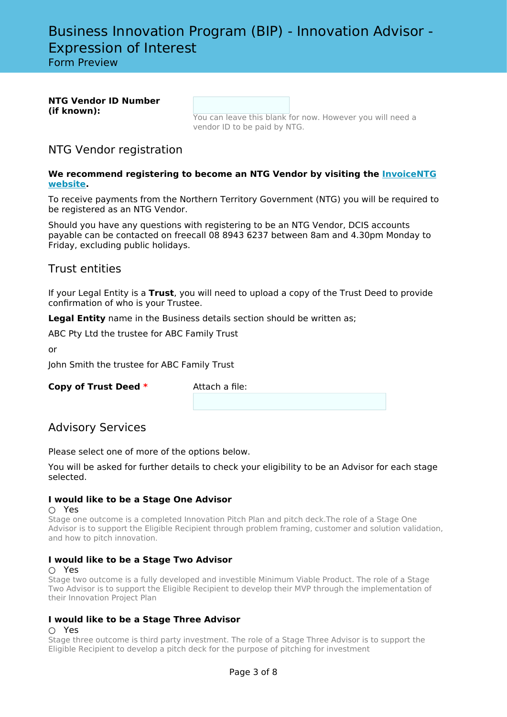Form Preview

| <b>NTG Vendor ID Number</b> |  |
|-----------------------------|--|
| (if known):                 |  |

You can leave this blank for now. However you will need a vendor ID to be paid by NTG.

## NTG Vendor registration

### **We recommend registering to become an NTG Vendor by visiting the [InvoiceNTG](https://invoicentg.nt.gov.au/registervendor) [website.](https://invoicentg.nt.gov.au/registervendor)**

To receive payments from the Northern Territory Government (NTG) you will be required to be registered as an NTG Vendor.

Should you have any questions with registering to be an NTG Vendor, DCIS accounts payable can be contacted on freecall 08 8943 6237 between 8am and 4.30pm Monday to Friday, excluding public holidays.

## Trust entities

If your Legal Entity is a **Trust**, you will need to upload a copy of the Trust Deed to provide confirmation of who is your Trustee.

**Legal Entity** name in the Business details section should be written as;

ABC Pty Ltd the trustee for ABC Family Trust

or

John Smith the trustee for ABC Family Trust

**Copy of Trust Deed \*** Attach a file:

## Advisory Services

Please select one of more of the options below.

You will be asked for further details to check your eligibility to be an Advisor for each stage selected.

## **I would like to be a Stage One Advisor**

#### ○ Yes

Stage one outcome is a completed Innovation Pitch Plan and pitch deck.The role of a Stage One Advisor is to support the Eligible Recipient through problem framing, customer and solution validation, and how to pitch innovation.

## **I would like to be a Stage Two Advisor**

## ○ Yes

Stage two outcome is a fully developed and investible Minimum Viable Product. The role of a Stage Two Advisor is to support the Eligible Recipient to develop their MVP through the implementation of their Innovation Project Plan

## **I would like to be a Stage Three Advisor**

#### ○ Yes

Stage three outcome is third party investment. The role of a Stage Three Advisor is to support the Eligible Recipient to develop a pitch deck for the purpose of pitching for investment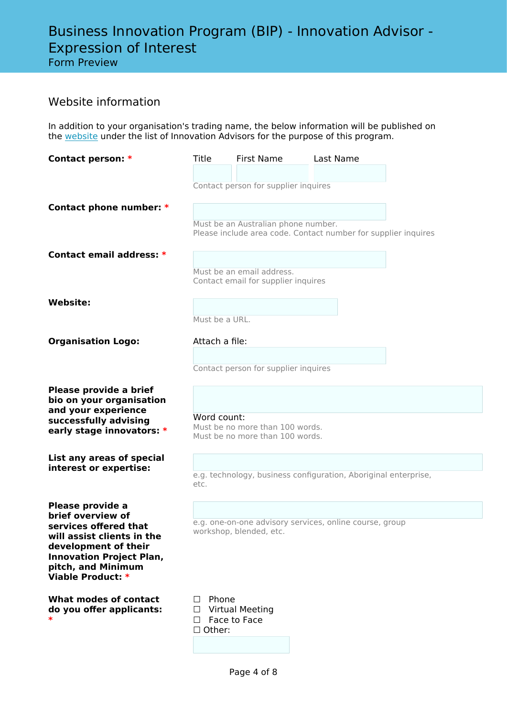# Form Preview

# Website information

In addition to your organisation's trading name, the below information will be published on the [website](http://www.nt.gov.au/BIP) under the list of Innovation Advisors for the purpose of this program.

| Contact person: *                                  | Title             | <b>First Name</b>                      | Last Name                                                       |  |
|----------------------------------------------------|-------------------|----------------------------------------|-----------------------------------------------------------------|--|
|                                                    |                   |                                        |                                                                 |  |
|                                                    |                   | Contact person for supplier inquires   |                                                                 |  |
| Contact phone number: *                            |                   |                                        |                                                                 |  |
|                                                    |                   |                                        |                                                                 |  |
|                                                    |                   | Must be an Australian phone number.    | Please include area code. Contact number for supplier inquires  |  |
|                                                    |                   |                                        |                                                                 |  |
| Contact email address: *                           |                   |                                        |                                                                 |  |
|                                                    |                   | Must be an email address.              |                                                                 |  |
|                                                    |                   | Contact email for supplier inquires    |                                                                 |  |
| <b>Website:</b>                                    |                   |                                        |                                                                 |  |
|                                                    | Must be a URL.    |                                        |                                                                 |  |
|                                                    |                   |                                        |                                                                 |  |
| <b>Organisation Logo:</b>                          | Attach a file:    |                                        |                                                                 |  |
|                                                    |                   |                                        |                                                                 |  |
|                                                    |                   | Contact person for supplier inquires   |                                                                 |  |
| Please provide a brief                             |                   |                                        |                                                                 |  |
| bio on your organisation                           |                   |                                        |                                                                 |  |
| and your experience<br>successfully advising       | Word count:       |                                        |                                                                 |  |
| early stage innovators: *                          |                   | Must be no more than 100 words.        |                                                                 |  |
|                                                    |                   | Must be no more than 100 words.        |                                                                 |  |
| List any areas of special                          |                   |                                        |                                                                 |  |
| interest or expertise:                             |                   |                                        | e.g. technology, business configuration, Aboriginal enterprise, |  |
|                                                    | etc.              |                                        |                                                                 |  |
| Please provide a                                   |                   |                                        |                                                                 |  |
| brief overview of                                  |                   |                                        |                                                                 |  |
| services offered that                              |                   | workshop, blended, etc.                | e.g. one-on-one advisory services, online course, group         |  |
| will assist clients in the<br>development of their |                   |                                        |                                                                 |  |
| <b>Innovation Project Plan,</b>                    |                   |                                        |                                                                 |  |
| pitch, and Minimum<br>Viable Product: *            |                   |                                        |                                                                 |  |
|                                                    |                   |                                        |                                                                 |  |
| What modes of contact                              | Phone<br>$\perp$  |                                        |                                                                 |  |
| do you offer applicants:<br>$\ast$                 | $\Box$<br>$\perp$ | <b>Virtual Meeting</b><br>Face to Face |                                                                 |  |
|                                                    | $\Box$ Other:     |                                        |                                                                 |  |
|                                                    |                   |                                        |                                                                 |  |
|                                                    |                   |                                        |                                                                 |  |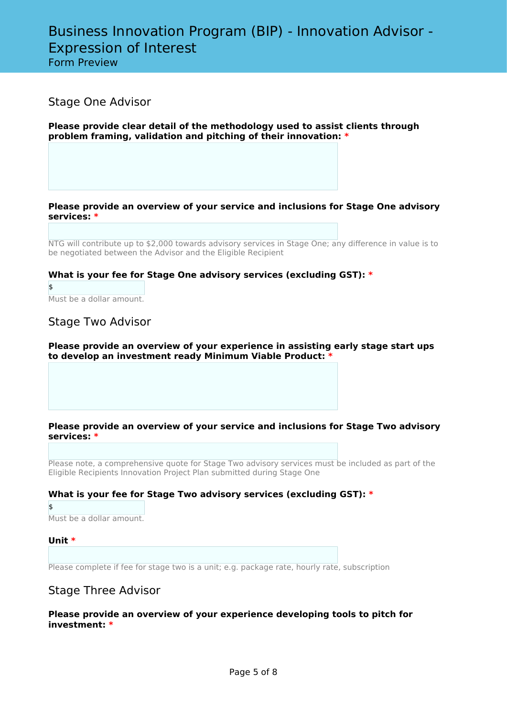Form Preview

## Stage One Advisor

**Please provide clear detail of the methodology used to assist clients through problem framing, validation and pitching of their innovation: \***

### **Please provide an overview of your service and inclusions for Stage One advisory services: \***

NTG will contribute up to \$2,000 towards advisory services in Stage One; any difference in value is to be negotiated between the Advisor and the Eligible Recipient

## **What is your fee for Stage One advisory services (excluding GST): \***

\$ Must be a dollar amount.

## Stage Two Advisor

#### **Please provide an overview of your experience in assisting early stage start ups to develop an investment ready Minimum Viable Product: \***

### **Please provide an overview of your service and inclusions for Stage Two advisory services: \***

Please note, a comprehensive quote for Stage Two advisory services must be included as part of the Eligible Recipients Innovation Project Plan submitted during Stage One

## **What is your fee for Stage Two advisory services (excluding GST): \***

\$ Must be a dollar amount.

## **Unit \***

Please complete if fee for stage two is a unit; e.g. package rate, hourly rate, subscription

## Stage Three Advisor

**Please provide an overview of your experience developing tools to pitch for investment: \***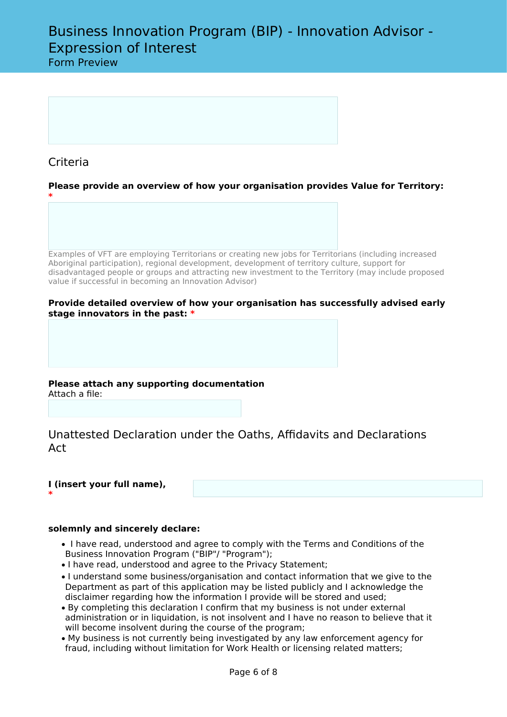## Criteria

**\***

**\***

**Please provide an overview of how your organisation provides Value for Territory:**

Examples of VFT are employing Territorians or creating new jobs for Territorians (including increased Aboriginal participation), regional development, development of territory culture, support for disadvantaged people or groups and attracting new investment to the Territory (may include proposed value if successful in becoming an Innovation Advisor)

#### **Provide detailed overview of how your organisation has successfully advised early stage innovators in the past: \***

**Please attach any supporting documentation** Attach a file:

Unattested Declaration under the Oaths, Affidavits and Declarations Act

## **I (insert your full name),**

#### **solemnly and sincerely declare:**

- I have read, understood and agree to comply with the Terms and Conditions of the Business Innovation Program ("BIP"/ "Program");
- I have read, understood and agree to the Privacy Statement;
- I understand some business/organisation and contact information that we give to the Department as part of this application may be listed publicly and I acknowledge the disclaimer regarding how the information I provide will be stored and used;
- By completing this declaration I confirm that my business is not under external administration or in liquidation, is not insolvent and I have no reason to believe that it will become insolvent during the course of the program;
- My business is not currently being investigated by any law enforcement agency for fraud, including without limitation for Work Health or licensing related matters;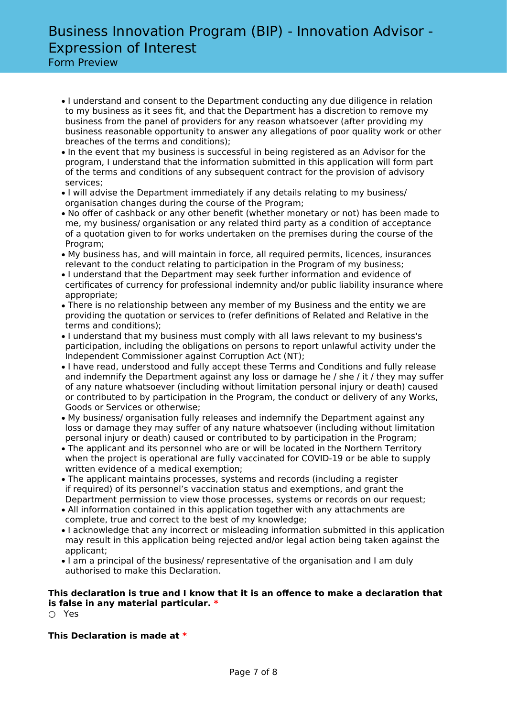Form Preview

- I understand and consent to the Department conducting any due diligence in relation to my business as it sees fit, and that the Department has a discretion to remove my business from the panel of providers for any reason whatsoever (after providing my business reasonable opportunity to answer any allegations of poor quality work or other breaches of the terms and conditions);
- In the event that my business is successful in being registered as an Advisor for the program, I understand that the information submitted in this application will form part of the terms and conditions of any subsequent contract for the provision of advisory services;
- I will advise the Department immediately if any details relating to my business/ organisation changes during the course of the Program;
- No offer of cashback or any other benefit (whether monetary or not) has been made to me, my business/ organisation or any related third party as a condition of acceptance of a quotation given to for works undertaken on the premises during the course of the Program;
- My business has, and will maintain in force, all required permits, licences, insurances relevant to the conduct relating to participation in the Program of my business;
- I understand that the Department may seek further information and evidence of certificates of currency for professional indemnity and/or public liability insurance where appropriate;
- There is no relationship between any member of my Business and the entity we are providing the quotation or services to (refer definitions of Related and Relative in the terms and conditions);
- I understand that my business must comply with all laws relevant to my business's participation, including the obligations on persons to report unlawful activity under the Independent Commissioner against Corruption Act (NT);
- I have read, understood and fully accept these Terms and Conditions and fully release and indemnify the Department against any loss or damage he / she / it / they may suffer of any nature whatsoever (including without limitation personal injury or death) caused or contributed to by participation in the Program, the conduct or delivery of any Works, Goods or Services or otherwise;
- My business/ organisation fully releases and indemnify the Department against any loss or damage they may suffer of any nature whatsoever (including without limitation personal injury or death) caused or contributed to by participation in the Program;
- The applicant and its personnel who are or will be located in the Northern Territory when the project is operational are fully vaccinated for COVID-19 or be able to supply written evidence of a medical exemption;
- The applicant maintains processes, systems and records (including a register if required) of its personnel's vaccination status and exemptions, and grant the Department permission to view those processes, systems or records on our request;
- All information contained in this application together with any attachments are complete, true and correct to the best of my knowledge;
- I acknowledge that any incorrect or misleading information submitted in this application may result in this application being rejected and/or legal action being taken against the applicant;
- I am a principal of the business/ representative of the organisation and I am duly authorised to make this Declaration.

## **This declaration is true and I know that it is an offence to make a declaration that is false in any material particular. \***

○ Yes

**This Declaration is made at \***